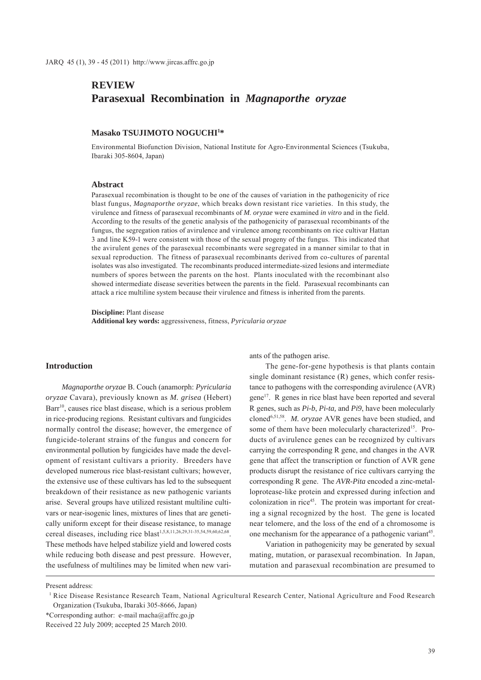# **REVIEW Parasexual Recombination in** *Magnaporthe oryzae*

# **Masako TSUJIMOTO NOGUCHI1 \***

Environmental Biofunction Division, National Institute for Agro-Environmental Sciences (Tsukuba, Ibaraki 305-8604, Japan)

## **Abstract**

Parasexual recombination is thought to be one of the causes of variation in the pathogenicity of rice blast fungus, *Magnaporthe oryzae*, which breaks down resistant rice varieties. In this study, the virulence and fitness of parasexual recombinants of *M*. *oryzae* were examined *in vitro* and in the field. According to the results of the genetic analysis of the pathogenicity of parasexual recombinants of the fungus, the segregation ratios of avirulence and virulence among recombinants on rice cultivar Hattan 3 and line K59-1 were consistent with those of the sexual progeny of the fungus. This indicated that the avirulent genes of the parasexual recombinants were segregated in a manner similar to that in sexual reproduction. The fitness of parasexual recombinants derived from co-cultures of parental isolates was also investigated. The recombinants produced intermediate-sized lesions and intermediate numbers of spores between the parents on the host. Plants inoculated with the recombinant also showed intermediate disease severities between the parents in the field. Parasexual recombinants can attack a rice multiline system because their virulence and fitness is inherited from the parents.

**Discipline:** Plant disease **Additional key words:** aggressiveness, fitness, *Pyricularia oryzae*

# **Introduction**

*Magnaporthe oryzae* B. Couch (anamorph: *Pyricularia oryzae* Cavara), previously known as *M. grisea* (Hebert) Barr<sup>10</sup>, causes rice blast disease, which is a serious problem in rice-producing regions. Resistant cultivars and fungicides normally control the disease; however, the emergence of fungicide-tolerant strains of the fungus and concern for environmental pollution by fungicides have made the development of resistant cultivars a priority. Breeders have developed numerous rice blast-resistant cultivars; however, the extensive use of these cultivars has led to the subsequent breakdown of their resistance as new pathogenic variants arise. Several groups have utilized resistant multiline cultivars or near-isogenic lines, mixtures of lines that are genetically uniform except for their disease resistance, to manage cereal diseases, including rice blast<sup>1,5,8,11,26,29,31-35,54,59,60,62,68</sup>. These methods have helped stabilize yield and lowered costs while reducing both disease and pest pressure. However, the usefulness of multilines may be limited when new variants of the pathogen arise.

The gene-for-gene hypothesis is that plants contain single dominant resistance (R) genes, which confer resistance to pathogens with the corresponding avirulence (AVR) gene17. R genes in rice blast have been reported and several R genes, such as *Pi-b*, *Pi-ta,* and *Pi9*, have been molecularly cloned6,51,58. *M. oryzae* AVR genes have been studied, and some of them have been molecularly characterized<sup>15</sup>. Products of avirulence genes can be recognized by cultivars carrying the corresponding R gene, and changes in the AVR gene that affect the transcription or function of AVR gene products disrupt the resistance of rice cultivars carrying the corresponding R gene. The *AVR-Pita* encoded a zinc-metalloprotease-like protein and expressed during infection and colonization in rice45. The protein was important for creating a signal recognized by the host. The gene is located near telomere, and the loss of the end of a chromosome is one mechanism for the appearance of a pathogenic variant<sup>45</sup>.

Variation in pathogenicity may be generated by sexual mating, mutation, or parasexual recombination. In Japan, mutation and parasexual recombination are presumed to

Present address:

<sup>&</sup>lt;sup>1</sup> Rice Disease Resistance Research Team, National Agricultural Research Center, National Agriculture and Food Research Organization (Tsukuba, Ibaraki 305-8666, Japan)

<sup>\*</sup>Corresponding author: e-mail macha@affrc.go.jp

Received 22 July 2009; accepted 25 March 2010.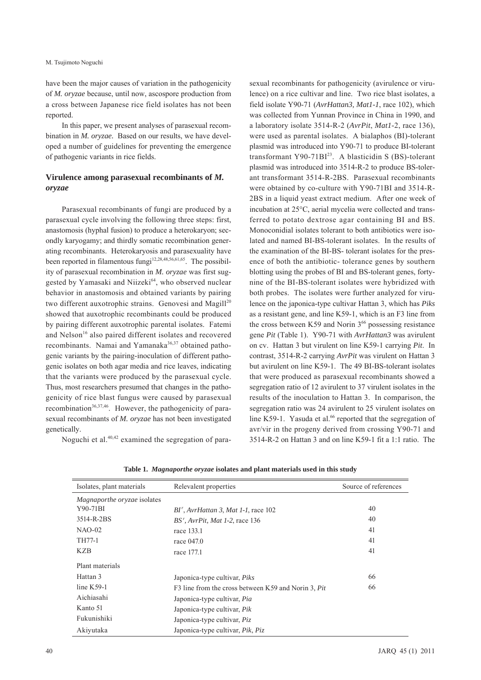M. Tsujimoto Noguchi

have been the major causes of variation in the pathogenicity of *M. oryzae* because, until now, ascospore production from a cross between Japanese rice field isolates has not been reported.

In this paper, we present analyses of parasexual recombination in *M. oryzae.* Based on our results, we have developed a number of guidelines for preventing the emergence of pathogenic variants in rice fields.

# **Virulence among parasexual recombinants of** *M. oryzae*

Parasexual recombinants of fungi are produced by a parasexual cycle involving the following three steps: first, anastomosis (hyphal fusion) to produce a heterokaryon; secondly karyogamy; and thirdly somatic recombination generating recombinants. Heterokaryosis and parasexuality have been reported in filamentous fungi $12,28,48,56,61,65$ . The possibility of parasexual recombination in *M. oryzae* was first suggested by Yamasaki and Niizeki<sup>64</sup>, who observed nuclear behavior in anastomosis and obtained variants by pairing two different auxotrophic strains. Genovesi and Magill<sup>20</sup> showed that auxotrophic recombinants could be produced by pairing different auxotrophic parental isolates. Fatemi and Nelson<sup>16</sup> also paired different isolates and recovered recombinants. Namai and Yamanaka<sup>36,37</sup> obtained pathogenic variants by the pairing-inoculation of different pathogenic isolates on both agar media and rice leaves, indicating that the variants were produced by the parasexual cycle. Thus, most researchers presumed that changes in the pathogenicity of rice blast fungus were caused by parasexual recombination<sup>36,37,46</sup>. However, the pathogenicity of parasexual recombinants of *M. oryzae* has not been investigated genetically.

Noguchi et al.40,42 examined the segregation of para-

sexual recombinants for pathogenicity (avirulence or virulence) on a rice cultivar and line. Two rice blast isolates, a field isolate Y90-71 (*AvrHattan3, Mat1-1*, race 102), which was collected from Yunnan Province in China in 1990, and a laboratory isolate 3514-R-2 (*AvrPit*, *Mat1-*2, race 136), were used as parental isolates. A bialaphos (BI)-tolerant plasmid was introduced into Y90-71 to produce BI-tolerant transformant Y90-71BI $^{23}$ . A blasticidin S (BS)-tolerant plasmid was introduced into 3514-R-2 to produce BS-tolerant transformant 3514-R-2BS. Parasexual recombinants were obtained by co-culture with Y90-71BI and 3514-R-2BS in a liquid yeast extract medium. After one week of incubation at 25°C, aerial mycelia were collected and transferred to potato dextrose agar containing BI and BS. Monoconidial isolates tolerant to both antibiotics were isolated and named BI-BS-tolerant isolates. In the results of the examination of the BI-BS- tolerant isolates for the presence of both the antibiotic- tolerance genes by southern blotting using the probes of BI and BS-tolerant genes, fortynine of the BI-BS-tolerant isolates were hybridized with both probes. The isolates were further analyzed for virulence on the japonica-type cultivar Hattan 3, which has *Piks*  as a resistant gene, and line K59-1, which is an F3 line from the cross between K59 and Norin  $3^{66}$  possessing resistance gene *Pit* (Table 1). Y90-71 with *AvrHattan3* was avirulent on cv. Hattan 3 but virulent on line K59-1 carrying *Pit*. In contrast, 3514-R-2 carrying *AvrPit* was virulent on Hattan 3 but avirulent on line K59-1. The 49 BI-BS-tolerant isolates that were produced as parasexual recombinants showed a segregation ratio of 12 avirulent to 37 virulent isolates in the results of the inoculation to Hattan 3. In comparison, the segregation ratio was 24 avirulent to 25 virulent isolates on line K59-1. Yasuda et al. $66$  reported that the segregation of avr/vir in the progeny derived from crossing Y90-71 and 3514-R-2 on Hattan 3 and on line K59-1 fit a 1:1 ratio. The

| Isolates, plant materials   | Relevalent properties                               | Source of references |
|-----------------------------|-----------------------------------------------------|----------------------|
| Magnaporthe oryzae isolates |                                                     |                      |
| Y90-71BI                    | $BIr$ , AvrHattan 3, Mat 1-1, race 102              | 40                   |
| 3514-R-2BS                  | BS', AvrPit, Mat 1-2, race 136                      | 40                   |
| $NAO-02$                    | race 133.1                                          | 41                   |
| TH77-1                      | race 047.0                                          | 41                   |
| KZB                         | race 177.1                                          | 41                   |
| Plant materials             |                                                     |                      |
| Hattan 3                    | Japonica-type cultivar, <i>Piks</i>                 | 66                   |
| line $K$ 59-1               | F3 line from the cross between K59 and Norin 3, Pit | 66                   |
| Aichiasahi                  | Japonica-type cultivar, Pia                         |                      |
| Kanto 51                    | Japonica-type cultivar, <i>Pik</i>                  |                      |
| Fukunishiki                 | Japonica-type cultivar, Piz                         |                      |
| Akivutaka                   | Japonica-type cultivar, <i>Pik</i> , <i>Piz</i>     |                      |

**Table 1.** *Magnaporthe oryzae* **isolates and plant materials used in this study**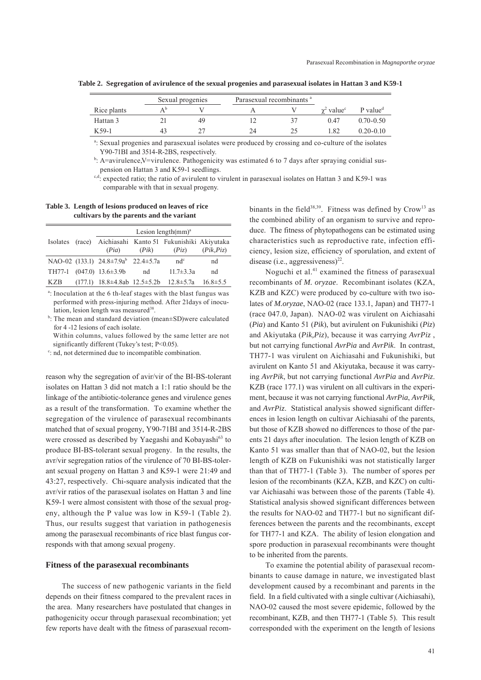|             | Sexual progenies |    |    | Parasexual recombinants <sup>a</sup> |                               |                                     |
|-------------|------------------|----|----|--------------------------------------|-------------------------------|-------------------------------------|
| Rice plants |                  |    |    |                                      | $\gamma^2$ value <sup>c</sup> | $P$ value <sup><math>d</math></sup> |
| Hattan 3    |                  | 49 |    |                                      | 0.47                          | $0.70 - 0.50$                       |
| $K$ 59-1    | 43               |    | 24 | 25                                   | .82                           | $0.20 - 0.10$                       |

**Table 2. Segregation of avirulence of the sexual progenies and parasexual isolates in Hattan 3 and K59-1**

a : Sexual progenies and parasexual isolates were produced by crossing and co-culture of the isolates Y90-71BI and 3514-R-2BS, respectively.

 $b$ : A=avirulence,V=virulence. Pathogenicity was estimated 6 to 7 days after spraying conidial suspension on Hattan 3 and K59-1 seedlings.

 $c,d$ : expected ratio; the ratio of avirulent to virulent in parasexual isolates on Hattan 3 and K59-1 was comparable with that in sexual progeny.

**Table 3. Length of lesions produced on leaves of rice cultivars by the parents and the variant**

|     | Lesion length $(mm)^a$              |       |                                                                    |                |
|-----|-------------------------------------|-------|--------------------------------------------------------------------|----------------|
|     | (Pia)                               | (Pik) | Isolates (race) Aichiasahi Kanto 51 Fukunishiki Akiyutaka<br>(Piz) | (Pik, Piz)     |
|     | NAO-02 (133.1) 24.8±7.9ab 22.4±5.7a |       | $nd^c$                                                             | nd             |
|     | TH77-1 $(047.0)$ 13.6 $\pm$ 3.9b    | nd    | $11.7 \pm 3.3a$                                                    | nd             |
| KZB | $(177.1)$ 18.8±4.8ab 12.5±5.2b      |       | $12.8 \pm 5.7a$                                                    | $16.8 \pm 5.5$ |

a: Inoculation at the 6 th-leaf stages with the blast fungus was performed with press-injuring method. After 21days of inoculation, lesion length was measured<sup>38</sup>.

b : The mean and standard deviation (mean±SD)were calculated for 4 -12 lesions of each isolate.

 Within columns, values followed by the same letter are not significantly different (Tukey's test; P<0.05).

<sup>c</sup>: nd, not determined due to incompatible combination.

reason why the segregation of avir/vir of the BI-BS-tolerant isolates on Hattan 3 did not match a 1:1 ratio should be the linkage of the antibiotic-tolerance genes and virulence genes as a result of the transformation. To examine whether the segregation of the virulence of parasexual recombinants matched that of sexual progeny, Y90-71BI and 3514-R-2BS were crossed as described by Yaegashi and Kobayashi<sup>63</sup> to produce BI-BS-tolerant sexual progeny. In the results, the avr/vir segregation ratios of the virulence of 70 BI-BS-tolerant sexual progeny on Hattan 3 and K59-1 were 21:49 and 43:27, respectively. Chi-square analysis indicated that the avr/vir ratios of the parasexual isolates on Hattan 3 and line K59-1 were almost consistent with those of the sexual progeny, although the P value was low in K59-1 (Table 2). Thus, our results suggest that variation in pathogenesis among the parasexual recombinants of rice blast fungus corresponds with that among sexual progeny.

## **Fitness of the parasexual recombinants**

The success of new pathogenic variants in the field depends on their fitness compared to the prevalent races in the area. Many researchers have postulated that changes in pathogenicity occur through parasexual recombination; yet few reports have dealt with the fitness of parasexual recom-

binants in the field<sup>38,39</sup>. Fitness was defined by  $Crow<sup>13</sup>$  as the combined ability of an organism to survive and reproduce. The fitness of phytopathogens can be estimated using characteristics such as reproductive rate, infection efficiency, lesion size, efficiency of sporulation, and extent of disease (i.e., aggressiveness) $^{22}$ .

Noguchi et al.41 examined the fitness of parasexual recombinants of *M. oryzae*. Recombinant isolates (KZA, KZB and KZC) were produced by co-culture with two isolates of *M.oryzae*, NAO-02 (race 133.1, Japan) and TH77-1 (race 047.0, Japan). NAO-02 was virulent on Aichiasahi (*Pia*) and Kanto 51 (*Pik*), but avirulent on Fukunishiki (*Piz*) and Akiyutaka (*Pik,Piz*), because it was carrying *AvrPiz* , but not carrying functional *AvrPia* and *AvrPik*. In contrast, TH77-1 was virulent on Aichiasahi and Fukunishiki, but avirulent on Kanto 51 and Akiyutaka, because it was carrying *AvrPik*, but not carrying functional *AvrPia* and *AvrPiz*. KZB (race 177.1) was virulent on all cultivars in the experiment, because it was not carrying functional *AvrPia*, *AvrPik,*  and *AvrPiz*. Statistical analysis showed significant differences in lesion length on cultivar Aichiasahi of the parents, but those of KZB showed no differences to those of the parents 21 days after inoculation. The lesion length of KZB on Kanto 51 was smaller than that of NAO-02, but the lesion length of KZB on Fukunishiki was not statistically larger than that of TH77-1 (Table 3). The number of spores per lesion of the recombinants (KZA, KZB, and KZC) on cultivar Aichiasahi was between those of the parents (Table 4). Statistical analysis showed significant differences between the results for NAO-02 and TH77-1 but no significant differences between the parents and the recombinants, except for TH77-1 and KZA. The ability of lesion elongation and spore production in parasexual recombinants were thought to be inherited from the parents.

To examine the potential ability of parasexual recombinants to cause damage in nature, we investigated blast development caused by a recombinant and parents in the field. In a field cultivated with a single cultivar (Aichiasahi), NAO-02 caused the most severe epidemic, followed by the recombinant, KZB, and then TH77-1 (Table 5). This result corresponded with the experiment on the length of lesions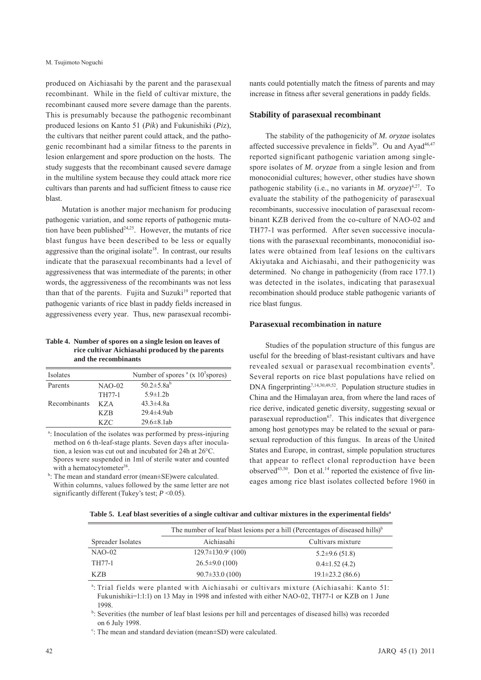produced on Aichiasahi by the parent and the parasexual recombinant. While in the field of cultivar mixture, the recombinant caused more severe damage than the parents. This is presumably because the pathogenic recombinant produced lesions on Kanto 51 (*Pik*) and Fukunishiki (*Pi*z), the cultivars that neither parent could attack, and the pathogenic recombinant had a similar fitness to the parents in lesion enlargement and spore production on the hosts. The study suggests that the recombinant caused severe damage in the multiline system because they could attack more rice cultivars than parents and had sufficient fitness to cause rice blast.

Mutation is another major mechanism for producing pathogenic variation, and some reports of pathogenic mutation have been published $24,25$ . However, the mutants of rice blast fungus have been described to be less or equally aggressive than the original isolate<sup>18</sup>. In contrast, our results indicate that the parasexual recombinants had a level of aggressiveness that was intermediate of the parents; in other words, the aggressiveness of the recombinants was not less than that of the parents. Fujita and Suzuki $19$  reported that pathogenic variants of rice blast in paddy fields increased in aggressiveness every year. Thus, new parasexual recombi-

**Table 4. Number of spores on a single lesion on leaves of rice cultivar Aichiasahi produced by the parents and the recombinants**

| Isolates     |          | Number of spores $\alpha$ (x 10 <sup>3</sup> spores) |
|--------------|----------|------------------------------------------------------|
| Parents      | $NAO-02$ | 50.2 $\pm$ 5.8a <sup>b</sup>                         |
|              | TH77-1   | $5.9 \pm 1.2$ b                                      |
| Recombinants | K Z A    | $43.3 \pm 4.8a$                                      |
|              | K Z B    | $29.4 \pm 4.9$ ab                                    |
|              | K Z.C    | $29.6 \pm 8.1$ ab                                    |

<sup>a</sup>: Inoculation of the isolates was performed by press-injuring method on 6 th-leaf-stage plants. Seven days after inoculation, a lesion was cut out and incubated for 24h at 26°C. Spores were suspended in 1ml of sterile water and counted with a hematocytometer<sup>38</sup>.

<sup>b</sup>: The mean and standard error (mean±SE)were calculated. Within columns, values followed by the same letter are not significantly different (Tukey's test; *P* <0.05).

nants could potentially match the fitness of parents and may increase in fitness after several generations in paddy fields.

### **Stability of parasexual recombinant**

The stability of the pathogenicity of *M. oryzae* isolates affected successive prevalence in fields<sup>39</sup>. Ou and Ayad<sup>46,47</sup> reported significant pathogenic variation among singlespore isolates of *M. oryzae* from a single lesion and from monoconidial cultures; however, other studies have shown pathogenic stability (i.e., no variants in *M. oryzae*)<sup>4,27</sup>. To evaluate the stability of the pathogenicity of parasexual recombinants, successive inoculation of parasexual recombinant KZB derived from the co-culture of NAO-02 and TH77-1 was performed. After seven successive inoculations with the parasexual recombinants, monoconidial isolates were obtained from leaf lesions on the cultivars Akiyutaka and Aichiasahi, and their pathogenicity was determined. No change in pathogenicity (from race 177.1) was detected in the isolates, indicating that parasexual recombination should produce stable pathogenic variants of rice blast fungus.

## **Parasexual recombination in nature**

Studies of the population structure of this fungus are useful for the breeding of blast-resistant cultivars and have revealed sexual or parasexual recombination events<sup>9</sup>. Several reports on rice blast populations have relied on DNA fingerprinting<sup>7,14,30,49,52</sup>. Population structure studies in China and the Himalayan area, from where the land races of rice derive, indicated genetic diversity, suggesting sexual or parasexual reproduction $67$ . This indicates that divergence among host genotypes may be related to the sexual or parasexual reproduction of this fungus. In areas of the United States and Europe, in contrast, simple population structures that appear to reflect clonal reproduction have been observed $43,50$ . Don et al.<sup>14</sup> reported the existence of five lineages among rice blast isolates collected before 1960 in

Table 5. Leaf blast severities of a single cultivar and cultivar mixtures in the experimental fields<sup>a</sup>

|                   | The number of leaf blast lesions per a hill (Percentages of diseased hills) <sup>b</sup> |                        |  |
|-------------------|------------------------------------------------------------------------------------------|------------------------|--|
| Spreader Isolates | Aichiasahi                                                                               | Cultivars mixture      |  |
| $NAO-02$          | $129.7 \pm 130.9^{\circ}$ (100)                                                          | $5.2\pm9.6(51.8)$      |  |
| TH77-1            | $26.5 \pm 9.0$ (100)                                                                     | $0.4\pm1.52(4.2)$      |  |
| <b>KZB</b>        | $90.7 \pm 33.0$ (100)                                                                    | $19.1 \pm 23.2$ (86.6) |  |

a : Trial fields were planted with Aichiasahi or cultivars mixture (Aichiasahi: Kanto 51: Fukunishiki=1:1:1) on 13 May in 1998 and infested with either NAO-02, TH77-1 or KZB on 1 June 1998.

b : Severities (the number of leaf blast lesions per hill and percentages of diseased hills) was recorded on 6 July 1998.

c : The mean and standard deviation (mean±SD) were calculated.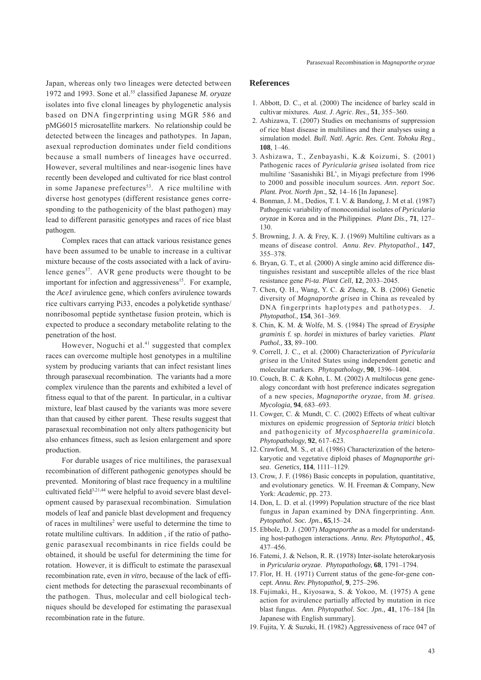Japan, whereas only two lineages were detected between 1972 and 1993. Sone et al.55 classified Japanese *M. oryaze* isolates into five clonal lineages by phylogenetic analysis based on DNA fingerprinting using MGR 586 and pMG6015 microsatellite markers. No relationship could be detected between the lineages and pathotypes. In Japan, asexual reproduction dominates under field conditions because a small numbers of lineages have occurred. However, several multilines and near-isogenic lines have recently been developed and cultivated for rice blast control in some Japanese prefectures<sup>53</sup>. A rice multiline with diverse host genotypes (different resistance genes corresponding to the pathogenicity of the blast pathogen) may lead to different parasitic genotypes and races of rice blast pathogen.

Complex races that can attack various resistance genes have been assumed to be unable to increase in a cultivar mixture because of the costs associated with a lack of avirulence genes<sup>57</sup>. AVR gene products were thought to be important for infection and aggressiveness<sup>15</sup>. For example, the *Ace1* avirulence gene, which confers avirulence towards rice cultivars carrying Pi33, encodes a polyketide synthase/ nonribosomal peptide synthetase fusion protein, which is expected to produce a secondary metabolite relating to the penetration of the host.

However, Noguchi et al.<sup>41</sup> suggested that complex races can overcome multiple host genotypes in a multiline system by producing variants that can infect resistant lines through parasexual recombination. The variants had a more complex virulence than the parents and exhibited a level of fitness equal to that of the parent. In particular, in a cultivar mixture, leaf blast caused by the variants was more severe than that caused by either parent. These results suggest that parasexual recombination not only alters pathogenicity but also enhances fitness, such as lesion enlargement and spore production.

For durable usages of rice multilines, the parasexual recombination of different pathogenic genotypes should be prevented. Monitoring of blast race frequency in a multiline cultivated field $3,21,44$  were helpful to avoid severe blast development caused by parasexual recombination. Simulation models of leaf and panicle blast development and frequency of races in multilines<sup>2</sup> were useful to determine the time to rotate multiline cultivars. In addition , if the ratio of pathogenic parasexual recombinants in rice fields could be obtained, it should be useful for determining the time for rotation. However, it is difficult to estimate the parasexual recombination rate, even *in vitro*, because of the lack of efficient methods for detecting the parasexual recombinants of the pathogen. Thus, molecular and cell biological techniques should be developed for estimating the parasexual recombination rate in the future.

#### **References**

- 1. Abbott, D. C., et al. (2000) The incidence of barley scald in cultivar mixtures. *Aust*. *J*. *Agric*. *Res*., **51**, 355–360.
- 2. Ashizawa, T. (2007) Studies on mechanisms of suppression of rice blast disease in multilines and their analyses using a simulation model. *Bull. Natl. Agric. Res. Cent. Tohoku Reg*., **108**, 1–46.
- 3. Ashizawa, T., Zenbayashi, K.& Koizumi, S. (2001) Pathogenic races of *Pyricularia grisea* isolated from rice multiline 'Sasanishiki BL', in Miyagi prefecture from 1996 to 2000 and possible inoculum sources. *Ann. report Soc. Plant. Prot. North Jpn*., **52**, 14–16 [In Japanese].
- 4. Bonman, J. M., Dedios, T. I. V. & Bandong, J. M et al. (1987) Pathogenic variability of monoconidial isolates of *Pyricularia oryzae* in Korea and in the Philippines. *Plant Dis*.*,* **71**, 127– 130.
- 5. Browning, J. A. & Frey, K. J. (1969) Multiline cultivars as a means of disease control. *Annu*. *Rev*. *Phytopathol*., **147**, 355–378.
- 6. Bryan, G. T., et al. (2000) A single amino acid difference distinguishes resistant and susceptible alleles of the rice blast resistance gene *Pi-ta*. *Plant Cell*, **12**, 2033–2045.
- 7. Chen, Q. H., Wang, Y. C. & Zheng, X. B. (2006) Genetic diversity of *Magnaporthe grisea* in China as revealed by DNA fingerprints haplotypes and pathotypes. *J. Phytopathol.,* **154**, 361–369.
- 8. Chin, K. M. & Wolfe, M. S. (1984) The spread of *Erysiphe graminis* f. sp. *hordei* in mixtures of barley varieties. *Plant Pathol.,* **33**, 89–100.
- 9. Correll, J. C., et al. (2000) Characterization of *Pyricularia grisea* in the United States using independent genetic and molecular markers. *Phytopathology*, **90**, 1396–1404.
- 10. Couch, B. C. & Kohn, L. M. (2002) A multilocus gene genealogy concordant with host preference indicates segregation of a new species, *Magnaporthe oryzae*, from *M*. *grisea*. *Mycologia,* **94**, 683–693.
- 11. Cowger, C. & Mundt, C. C. (2002) Effects of wheat cultivar mixtures on epidemic progression of *Septoria tritici* blotch and pathogenicity of *Mycosphaerella graminicola*. *Phytopathology,* **92**, 617–623.
- 12. Crawford, M. S., et al. (1986) Characterization of the heterokaryotic and vegetative diploid phases of *Magnaporthe grisea*. *Genetics,* **114**, 1111–1129.
- 13. Crow, J. F. (1986) Basic concepts in population, quantitative, and evolutionary genetics. W. H. Freeman & Company, New York: *Academic*, pp. 273.
- 14. Don, L. D. et al. (1999) Population structure of the rice blast fungus in Japan examined by DNA fingerprinting. *Ann. Pytopathol. Soc. Jpn.*, **65**,15–24.
- 15. Ebbole, D. J. (2007) *Magnaporthe* as a model for understanding host-pathogen interactions. *Annu. Rev. Phytopathol*.*,* **45**, 437–456.
- 16. Fatemi, J. & Nelson, R. R. (1978) Inter-isolate heterokaryosis in *Pyricularia oryzae*. *Phytopathology,* **68**, 1791–1794.
- 17. Flor, H. H. (1971) Current status of the gene-for-gene concept. *Annu. Rev. Phytopathol,* **9**, 275–296.
- 18. Fujimaki, H., Kiyosawa, S. & Yokoo, M. (1975) A gene action for avirulence partially affected by mutation in rice blast fungus. *Ann*. *Phytopathol*. *Soc*. *Jpn.,* **41**, 176–184 [In Japanese with English summary].
- 19. Fujita, Y. & Suzuki, H. (1982) Aggressiveness of race 047 of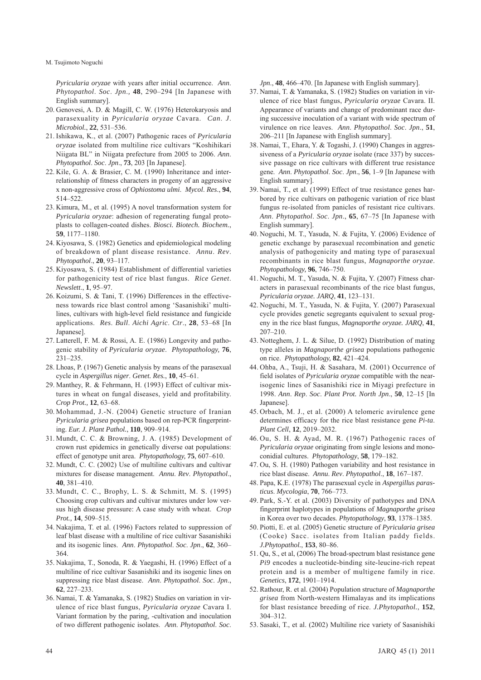*Pyricularia oryzae* with years after initial occurrence. *Ann*. *Phytopathol*. *Soc*. *Jpn*.*,* **48**, 290–294 [In Japanese with English summary].

- 20. Genovesi, A. D. & Magill, C. W. (1976) Heterokaryosis and parasexuality in *Pyricularia oryzae* Cavara. *Can*. *J*. *Microbiol.*, **22**, 531–536.
- 21. Ishikawa, K., et al. (2007) Pathogenic races of *Pyricularia oryzae* isolated from multiline rice cultivars "Koshihikari Niigata BL" in Niigata prefecture from 2005 to 2006. *Ann*. *Phytopathol*. *Soc*. *Jpn*., **73**, 203 [In Japanese].
- 22. Kile, G. A. & Brasier, C. M. (1990) Inheritance and interrelationship of fitness characters in progeny of an aggressive x non-aggressive cross of *Ophiostoma ulmi*. *Mycol*. *Res*., **94**, 514–522.
- 23. Kimura, M., et al. (1995) A novel transformation system for *Pyricularia oryzae*: adhesion of regenerating fungal protoplasts to collagen-coated dishes. *Biosci. Biotech. Biochem.*, **59**, 1177–1180.
- 24. Kiyosawa, S. (1982) Genetics and epidemiological modeling of breakdown of plant disease resistance. *Annu*. *Rev*. *Phytopathol*., **20**, 93–117.
- 25. Kiyosawa, S. (1984) Establishment of differential varieties for pathogenicity test of rice blast fungus. *Rice Genet*. *Newslett*., **1**, 95–97.
- 26. Koizumi, S. & Tani, T. (1996) Differences in the effectiveness towards rice blast control among 'Sasanishiki' multilines, cultivars with high-level field resistance and fungicide applications. *Res*. *Bull*. *Aichi Agric*. *Ctr*., **28**, 53–68 [In Japanese].
- 27. Latterell, F. M. & Rossi, A. E. (1986) Longevity and pathogenic stability of *Pyricularia oryzae*. *Phytopathology,* **76**, 231–235.
- 28. Lhoas, P. (1967) Genetic analysis by means of the parasexual cycle in *Aspergillus niger*. *Genet. Res.*, **10**, 45–61.
- 29. Manthey, R. & Fehrmann, H. (1993) Effect of cultivar mixtures in wheat on fungal diseases, yield and profitability. *Crop Prot.,* **12**, 63–68.
- 30. Mohammad, J.-N. (2004) Genetic structure of Iranian *Pyricularia grisea* populations based on rep-PCR fingerprinting. *Eur. J. Plant Pathol.*, **110**, 909–914.
- 31. Mundt, C. C. & Browning, J. A. (1985) Development of crown rust epidemics in genetically diverse oat populations: effect of genotype unit area. *Phytopathology,* **75**, 607–610.
- 32. Mundt, C. C. (2002) Use of multiline cultivars and cultivar mixtures for disease management. *Annu*. *Rev*. *Phytopathol*., **40**, 381–410.
- 33. Mundt, C. C., Brophy, L. S. & Schmitt, M. S. (1995) Choosing crop cultivars and cultivar mixtures under low versus high disease pressure: A case study with wheat. *Crop Prot.,* **14**, 509–515.
- 34. Nakajima, T. et al. (1996) Factors related to suppression of leaf blast disease with a multiline of rice cultivar Sasanishiki and its isogenic lines. *Ann*. *Phytopathol*. *Soc*. *Jpn*., **62**, 360– 364.
- 35. Nakajima, T., Sonoda, R. & Yaegashi, H. (1996) Effect of a multiline of rice cultivar Sasanishiki and its isogenic lines on suppressing rice blast disease. *Ann*. *Phytopathol*. *Soc*. *Jpn*., **62**, 227–233.
- 36. Namai, T. & Yamanaka, S. (1982) Studies on variation in virulence of rice blast fungus, *Pyricularia oryzae* Cavara I. Variant formation by the paring, -cultivation and inoculation of two different pathogenic isolates. *Ann*. *Phytopathol*. *Soc*.

*Jpn*., **48**, 466–470. [In Japanese with English summary].

- 37. Namai, T. & Yamanaka, S. (1982) Studies on variation in virulence of rice blast fungus, *Pyricularia oryzae* Cavara. II. Appearance of variants and change of predominant race during successive inoculation of a variant with wide spectrum of virulence on rice leaves. *Ann*. *Phytopathol*. *Soc*. *Jpn*., **51**, 206–211 [In Japanese with English summary].
- 38. Namai, T., Ehara, Y. & Togashi, J. (1990) Changes in aggressiveness of a *Pyricularia oryzae* isolate (race 337) by successive passage on rice cultivars with different true resistance gene. *Ann*. *Phytopathol*. *Soc*. *Jpn*., **56**, 1–9 [In Japanese with English summary].
- 39. Namai, T., et al. (1999) Effect of true resistance genes harbored by rice cultivars on pathogenic variation of rice blast fungus re-isolated from panicles of resistant rice cultivars. *Ann*. *Phytopathol*. *Soc*. *Jpn*., **65**, 67–75 [In Japanese with English summary].
- 40. Noguchi, M. T., Yasuda, N. & Fujita, Y. (2006) Evidence of genetic exchange by parasexual recombination and genetic analysis of pathogenicity and mating type of parasexual recombinants in rice blast fungus, *Magnaporthe oryzae*. *Phytopathology,* **96**, 746–750.
- 41. Noguchi, M. T., Yasuda, N. & Fujita, Y. (2007) Fitness characters in parasexual recombinants of the rice blast fungus, *Pyricularia oryzae. JARQ*, **41**, 123–131.
- 42. Noguchi, M. T., Yasuda, N. & Fujita, Y. (2007) Parasexual cycle provides genetic segregants equivalent to sexual progeny in the rice blast fungus, *Magnaporthe oryzae. JARQ*, **41**, 207–210.
- 43. Notteghem, J. L. & Silue, D. (1992) Distribution of mating type alleles in *Magnaporthe grisea* populations pathogenic on rice. *Phytopathology,* **82**, 421–424.
- 44. Ohba, A., Tsuji, H. & Sasahara, M. (2001) Occurrence of field isolates of *Pyricularia oryzae* compatible with the nearisogenic lines of Sasanishiki rice in Miyagi prefecture in 1998. *Ann*. *Rep*. *Soc*. *Plant Prot. North Jpn*., **50**, 12–15 [In Japanese].
- 45. Orbach, M. J., et al. (2000) A telomeric avirulence gene determines efficacy for the rice blast resistance gene *Pi-ta*. *Plant Cell*, **12**, 2019–2032.
- 46. Ou, S. H. & Ayad, M. R. (1967) Pathogenic races of *Pyricularia oryzae* originating from single lesions and monoconidial cultures. *Phytopathology*, **58**, 179–182.
- 47. Ou, S. H. (1980) Pathogen variability and host resistance in rice blast disease. *Annu*. *Rev*. *Phytopathol*., **18**, 167–187.
- 48. Papa, K.E. (1978) The parasexual cycle in *Aspergillus parasticus*. *Mycologia*, **70**, 766–773.
- 49. Park, S.-Y. et al. (2003) Diversity of pathotypes and DNA fingerprint haplotypes in populations of *Magnaporthe grisea* in Korea over two decades. *Phytopathology*, **93**, 1378–1385.
- 50. Piotti, E. et al. (2005) Genetic structure of *Pyricularia grisea* (Cooke) Sacc. isolates from Italian paddy fields. *J.Phytopathol.*, **153**, 80–86.
- 51. Qu, S., et al, (2006) The broad-spectrum blast resistance gene *Pi9* encodes a nucleotide-binding site-leucine-rich repeat protein and is a member of multigene family in rice. *Genetics*, **172**, 1901–1914.
- 52. Rathour, R. et al. (2004) Population structure of *Magnaporthe grisea* from North-western Himalayas and its implications for blast resistance breeding of rice. *J.Phytopathol.*, **152**, 304–312.
- 53. Sasaki, T., et al. (2002) Multiline rice variety of Sasanishiki